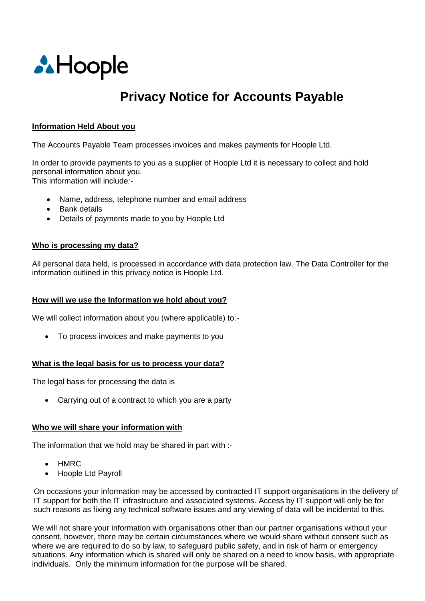

# **Privacy Notice for Accounts Payable**

## **Information Held About you**

The Accounts Payable Team processes invoices and makes payments for Hoople Ltd.

In order to provide payments to you as a supplier of Hoople Ltd it is necessary to collect and hold personal information about you. This information will include*:-*

- Name, address, telephone number and email address
- Bank details
- Details of payments made to you by Hoople Ltd

#### **Who is processing my data?**

All personal data held, is processed in accordance with data protection law. The Data Controller for the information outlined in this privacy notice is Hoople Ltd.

## **How will we use the Information we hold about you?**

We will collect information about you (where applicable) to:-

• To process invoices and make payments to you

#### **What is the legal basis for us to process your data?**

The legal basis for processing the data is

• Carrying out of a contract to which you are a party

#### **Who we will share your information with**

The information that we hold may be shared in part with :-

- HMRC
- Hoople Ltd Payroll

On occasions your information may be accessed by contracted IT support organisations in the delivery of IT support for both the IT infrastructure and associated systems. Access by IT support will only be for such reasons as fixing any technical software issues and any viewing of data will be incidental to this.

We will not share your information with organisations other than our partner organisations without your consent, however, there may be certain circumstances where we would share without consent such as where we are required to do so by law, to safeguard public safety, and in risk of harm or emergency situations. Any information which is shared will only be shared on a need to know basis, with appropriate individuals. Only the minimum information for the purpose will be shared.